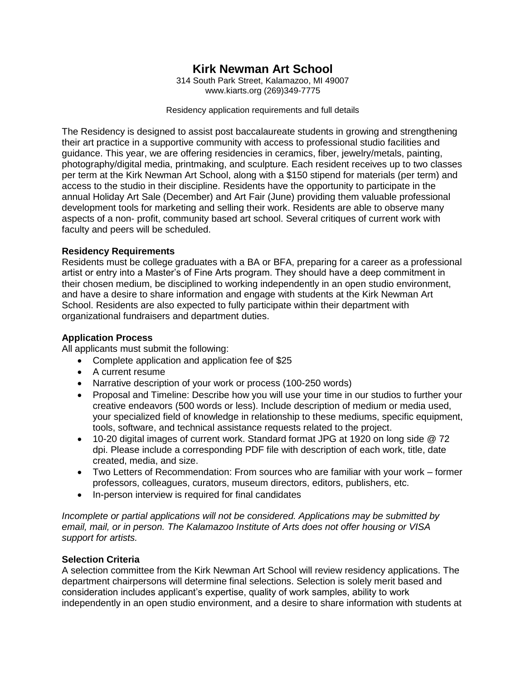# **Kirk Newman Art School**

314 South Park Street, Kalamazoo, MI 49007 www.kiarts.org (269)349-7775

Residency application requirements and full details

The Residency is designed to assist post baccalaureate students in growing and strengthening their art practice in a supportive community with access to professional studio facilities and guidance. This year, we are offering residencies in ceramics, fiber, jewelry/metals, painting, photography/digital media, printmaking, and sculpture. Each resident receives up to two classes per term at the Kirk Newman Art School, along with a \$150 stipend for materials (per term) and access to the studio in their discipline. Residents have the opportunity to participate in the annual Holiday Art Sale (December) and Art Fair (June) providing them valuable professional development tools for marketing and selling their work. Residents are able to observe many aspects of a non- profit, community based art school. Several critiques of current work with faculty and peers will be scheduled.

# **Residency Requirements**

Residents must be college graduates with a BA or BFA, preparing for a career as a professional artist or entry into a Master's of Fine Arts program. They should have a deep commitment in their chosen medium, be disciplined to working independently in an open studio environment, and have a desire to share information and engage with students at the Kirk Newman Art School. Residents are also expected to fully participate within their department with organizational fundraisers and department duties.

# **Application Process**

All applicants must submit the following:

- Complete application and application fee of \$25
- A current resume
- Narrative description of your work or process (100-250 words)
- Proposal and Timeline: Describe how you will use your time in our studios to further your creative endeavors (500 words or less). Include description of medium or media used, your specialized field of knowledge in relationship to these mediums, specific equipment, tools, software, and technical assistance requests related to the project.
- 10-20 digital images of current work. Standard format JPG at 1920 on long side @ 72 dpi. Please include a corresponding PDF file with description of each work, title, date created, media, and size.
- Two Letters of Recommendation: From sources who are familiar with your work former professors, colleagues, curators, museum directors, editors, publishers, etc.
- In-person interview is required for final candidates

*Incomplete or partial applications will not be considered. Applications may be submitted by email, mail, or in person. The Kalamazoo Institute of Arts does not offer housing or VISA support for artists.*

# **Selection Criteria**

A selection committee from the Kirk Newman Art School will review residency applications. The department chairpersons will determine final selections. Selection is solely merit based and consideration includes applicant's expertise, quality of work samples, ability to work independently in an open studio environment, and a desire to share information with students at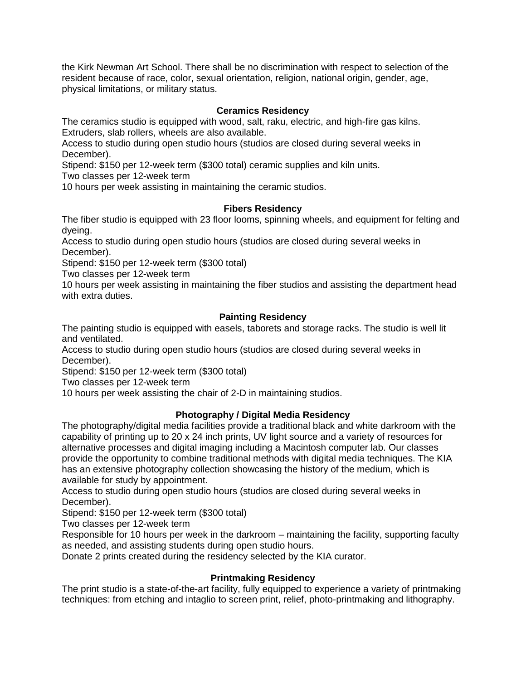the Kirk Newman Art School. There shall be no discrimination with respect to selection of the resident because of race, color, sexual orientation, religion, national origin, gender, age, physical limitations, or military status.

# **Ceramics Residency**

The ceramics studio is equipped with wood, salt, raku, electric, and high-fire gas kilns. Extruders, slab rollers, wheels are also available.

Access to studio during open studio hours (studios are closed during several weeks in December).

Stipend: \$150 per 12-week term (\$300 total) ceramic supplies and kiln units.

Two classes per 12-week term

10 hours per week assisting in maintaining the ceramic studios.

#### **Fibers Residency**

The fiber studio is equipped with 23 floor looms, spinning wheels, and equipment for felting and dyeing.

Access to studio during open studio hours (studios are closed during several weeks in December).

Stipend: \$150 per 12-week term (\$300 total)

Two classes per 12-week term

10 hours per week assisting in maintaining the fiber studios and assisting the department head with extra duties.

#### **Painting Residency**

The painting studio is equipped with easels, taborets and storage racks. The studio is well lit and ventilated.

Access to studio during open studio hours (studios are closed during several weeks in December).

Stipend: \$150 per 12-week term (\$300 total)

Two classes per 12-week term

10 hours per week assisting the chair of 2-D in maintaining studios.

# **Photography / Digital Media Residency**

The photography/digital media facilities provide a traditional black and white darkroom with the capability of printing up to 20 x 24 inch prints, UV light source and a variety of resources for alternative processes and digital imaging including a Macintosh computer lab. Our classes provide the opportunity to combine traditional methods with digital media techniques. The KIA has an extensive photography collection showcasing the history of the medium, which is available for study by appointment.

Access to studio during open studio hours (studios are closed during several weeks in December).

Stipend: \$150 per 12-week term (\$300 total)

Two classes per 12-week term

Responsible for 10 hours per week in the darkroom – maintaining the facility, supporting faculty as needed, and assisting students during open studio hours.

Donate 2 prints created during the residency selected by the KIA curator.

#### **Printmaking Residency**

The print studio is a state-of-the-art facility, fully equipped to experience a variety of printmaking techniques: from etching and intaglio to screen print, relief, photo-printmaking and lithography.